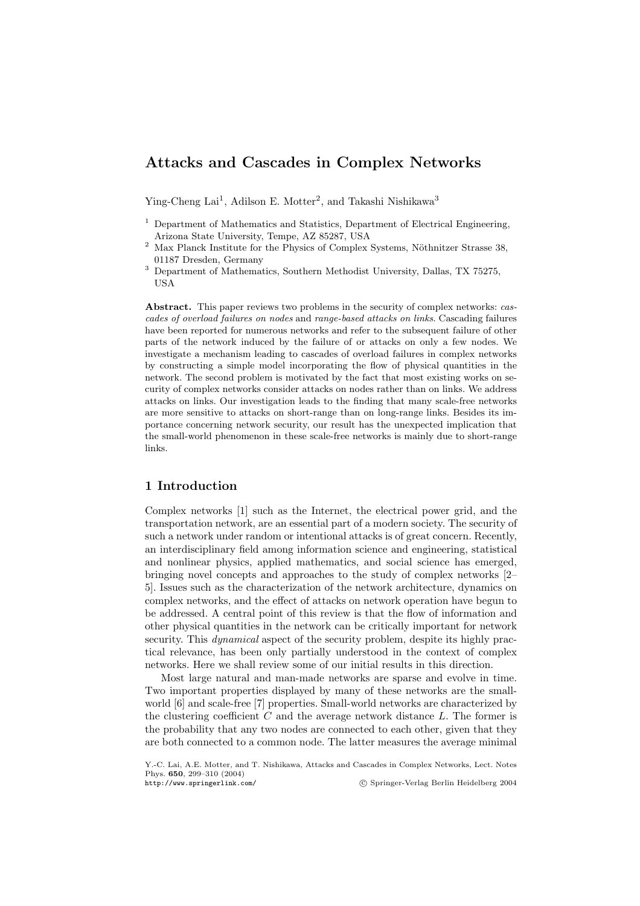# **Attacks and Cascades in Complex Networks**

Ying-Cheng Lai<sup>1</sup>, Adilson E. Motter<sup>2</sup>, and Takashi Nishikawa<sup>3</sup>

- $2$  Max Planck Institute for the Physics of Complex Systems, Nöthnitzer Strasse 38, 01187 Dresden, Germany
- <sup>3</sup> Department of Mathematics, Southern Methodist University, Dallas, TX 75275, USA

**Abstract.** This paper reviews two problems in the security of complex networks: cascades of overload failures on nodes and range-based attacks on links. Cascading failures have been reported for numerous networks and refer to the subsequent failure of other parts of the network induced by the failure of or attacks on only a few nodes. We investigate a mechanism leading to cascades of overload failures in complex networks by constructing a simple model incorporating the flow of physical quantities in the network. The second problem is motivated by the fact that most existing works on security of complex networks consider attacks on nodes rather than on links. We address attacks on links. Our investigation leads to the finding that many scale-free networks are more sensitive to attacks on short-range than on long-range links. Besides its importance concerning network security, our result has the unexpected implication that the small-world phenomenon in these scale-free networks is mainly due to short-range links.

## **1 Introduction**

Complex networks [1] such as the Internet, the electrical power grid, and the transportation network, are an essential part of a modern society. The security of such a network under random or intentional attacks is of great concern. Recently, an interdisciplinary field among information science and engineering, statistical and nonlinear physics, applied mathematics, and social science has emerged, bringing novel concepts and approaches to the study of complex networks [2– 5]. Issues such as the characterization of the network architecture, dynamics on complex networks, and the effect of attacks on network operation have begun to be addressed. A central point of this review is that the flow of information and other physical quantities in the network can be critically important for network security. This *dynamical* aspect of the security problem, despite its highly practical relevance, has been only partially understood in the context of complex networks. Here we shall review some of our initial results in this direction.

Most large natural and man-made networks are sparse and evolve in time. Two important properties displayed by many of these networks are the smallworld [6] and scale-free [7] properties. Small-world networks are characterized by the clustering coefficient  $C$  and the average network distance  $L$ . The former is the probability that any two nodes are connected to each other, given that they are both connected to a common node. The latter measures the average minimal

<sup>1</sup> Department of Mathematics and Statistics, Department of Electrical Engineering, Arizona State University, Tempe, AZ 85287, USA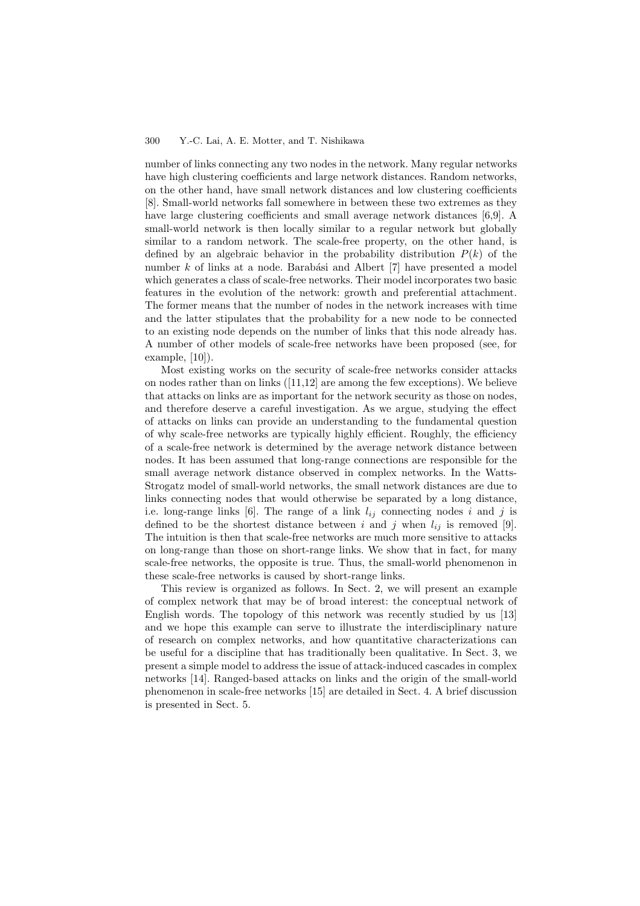number of links connecting any two nodes in the network. Many regular networks have high clustering coefficients and large network distances. Random networks, on the other hand, have small network distances and low clustering coefficients [8]. Small-world networks fall somewhere in between these two extremes as they have large clustering coefficients and small average network distances [6,9]. A small-world network is then locally similar to a regular network but globally similar to a random network. The scale-free property, on the other hand, is defined by an algebraic behavior in the probability distribution  $P(k)$  of the number  $k$  of links at a node. Barabási and Albert [7] have presented a model which generates a class of scale-free networks. Their model incorporates two basic features in the evolution of the network: growth and preferential attachment. The former means that the number of nodes in the network increases with time and the latter stipulates that the probability for a new node to be connected to an existing node depends on the number of links that this node already has. A number of other models of scale-free networks have been proposed (see, for example, [10]).

Most existing works on the security of scale-free networks consider attacks on nodes rather than on links ([11,12] are among the few exceptions). We believe that attacks on links are as important for the network security as those on nodes, and therefore deserve a careful investigation. As we argue, studying the effect of attacks on links can provide an understanding to the fundamental question of why scale-free networks are typically highly efficient. Roughly, the efficiency of a scale-free network is determined by the average network distance between nodes. It has been assumed that long-range connections are responsible for the small average network distance observed in complex networks. In the Watts-Strogatz model of small-world networks, the small network distances are due to links connecting nodes that would otherwise be separated by a long distance, i.e. long-range links [6]. The range of a link  $l_{ij}$  connecting nodes i and j is defined to be the shortest distance between i and j when  $l_{ij}$  is removed [9]. The intuition is then that scale-free networks are much more sensitive to attacks on long-range than those on short-range links. We show that in fact, for many scale-free networks, the opposite is true. Thus, the small-world phenomenon in these scale-free networks is caused by short-range links.

This review is organized as follows. In Sect. 2, we will present an example of complex network that may be of broad interest: the conceptual network of English words. The topology of this network was recently studied by us [13] and we hope this example can serve to illustrate the interdisciplinary nature of research on complex networks, and how quantitative characterizations can be useful for a discipline that has traditionally been qualitative. In Sect. 3, we present a simple model to address the issue of attack-induced cascades in complex networks [14]. Ranged-based attacks on links and the origin of the small-world phenomenon in scale-free networks [15] are detailed in Sect. 4. A brief discussion is presented in Sect. 5.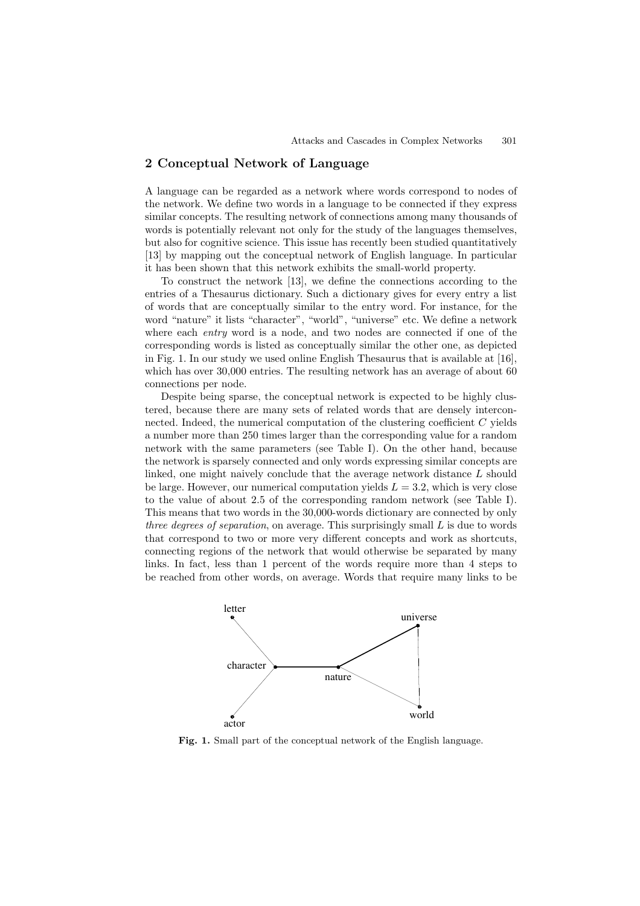#### **2 Conceptual Network of Language**

A language can be regarded as a network where words correspond to nodes of the network. We define two words in a language to be connected if they express similar concepts. The resulting network of connections among many thousands of words is potentially relevant not only for the study of the languages themselves, but also for cognitive science. This issue has recently been studied quantitatively [13] by mapping out the conceptual network of English language. In particular it has been shown that this network exhibits the small-world property.

To construct the network [13], we define the connections according to the entries of a Thesaurus dictionary. Such a dictionary gives for every entry a list of words that are conceptually similar to the entry word. For instance, for the word "nature" it lists "character", "world", "universe" etc. We define a network where each *entry* word is a node, and two nodes are connected if one of the corresponding words is listed as conceptually similar the other one, as depicted in Fig. 1. In our study we used online English Thesaurus that is available at [16], which has over 30,000 entries. The resulting network has an average of about 60 connections per node.

Despite being sparse, the conceptual network is expected to be highly clustered, because there are many sets of related words that are densely interconnected. Indeed, the numerical computation of the clustering coefficient C yields a number more than 250 times larger than the corresponding value for a random network with the same parameters (see Table I). On the other hand, because the network is sparsely connected and only words expressing similar concepts are linked, one might naively conclude that the average network distance L should be large. However, our numerical computation yields  $L = 3.2$ , which is very close to the value of about 2.5 of the corresponding random network (see Table I). This means that two words in the 30,000-words dictionary are connected by only *three degrees of separation*, on average. This surprisingly small L is due to words that correspond to two or more very different concepts and work as shortcuts, connecting regions of the network that would otherwise be separated by many links. In fact, less than 1 percent of the words require more than 4 steps to be reached from other words, on average. Words that require many links to be



**Fig. 1.** Small part of the conceptual network of the English language.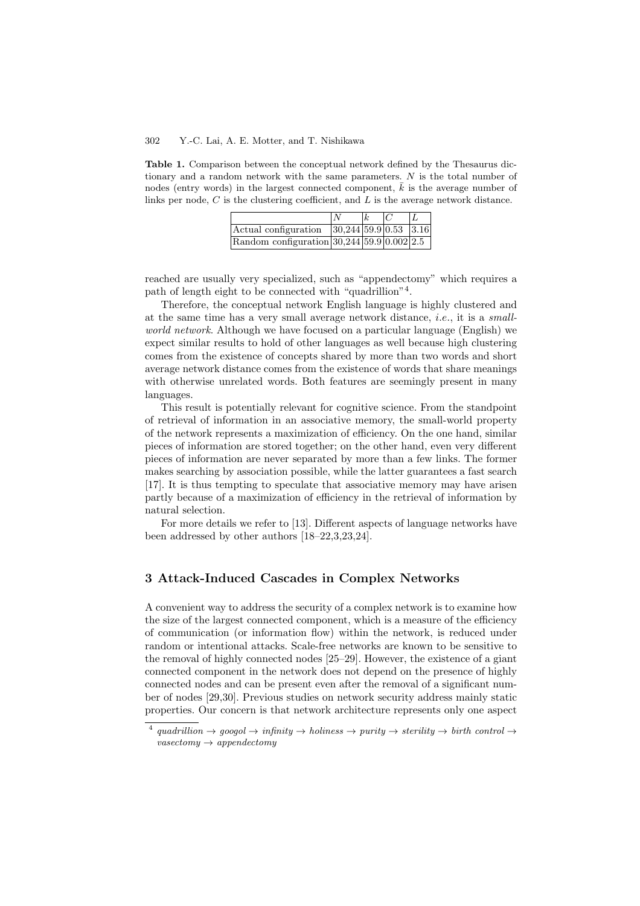**Table 1.** Comparison between the conceptual network defined by the Thesaurus dictionary and a random network with the same parameters. N is the total number of nodes (entry words) in the largest connected component,  $k$  is the average number of links per node,  $C$  is the clustering coefficient, and  $L$  is the average network distance.

| Actual configuration                                       | 30,244 59.9 0.53 3.16 |  |  |
|------------------------------------------------------------|-----------------------|--|--|
| $\sqrt{\text{Random configuration}}$ 30,244 59.9 0.002 2.5 |                       |  |  |

reached are usually very specialized, such as "appendectomy" which requires a path of length eight to be connected with "quadrillion"<sup>4</sup>.

Therefore, the conceptual network English language is highly clustered and at the same time has a very small average network distance, i.e., it is a *smallworld network*. Although we have focused on a particular language (English) we expect similar results to hold of other languages as well because high clustering comes from the existence of concepts shared by more than two words and short average network distance comes from the existence of words that share meanings with otherwise unrelated words. Both features are seemingly present in many languages.

This result is potentially relevant for cognitive science. From the standpoint of retrieval of information in an associative memory, the small-world property of the network represents a maximization of efficiency. On the one hand, similar pieces of information are stored together; on the other hand, even very different pieces of information are never separated by more than a few links. The former makes searching by association possible, while the latter guarantees a fast search [17]. It is thus tempting to speculate that associative memory may have arisen partly because of a maximization of efficiency in the retrieval of information by natural selection.

For more details we refer to [13]. Different aspects of language networks have been addressed by other authors [18–22,3,23,24].

## **3 Attack-Induced Cascades in Complex Networks**

A convenient way to address the security of a complex network is to examine how the size of the largest connected component, which is a measure of the efficiency of communication (or information flow) within the network, is reduced under random or intentional attacks. Scale-free networks are known to be sensitive to the removal of highly connected nodes [25–29]. However, the existence of a giant connected component in the network does not depend on the presence of highly connected nodes and can be present even after the removal of a significant number of nodes [29,30]. Previous studies on network security address mainly static properties. Our concern is that network architecture represents only one aspect

quadrillion  $\rightarrow$  googol  $\rightarrow$  infinity  $\rightarrow$  holiness  $\rightarrow$  purity  $\rightarrow$  sterility  $\rightarrow$  birth control  $\rightarrow$  $visectomy \rightarrow appendectomy$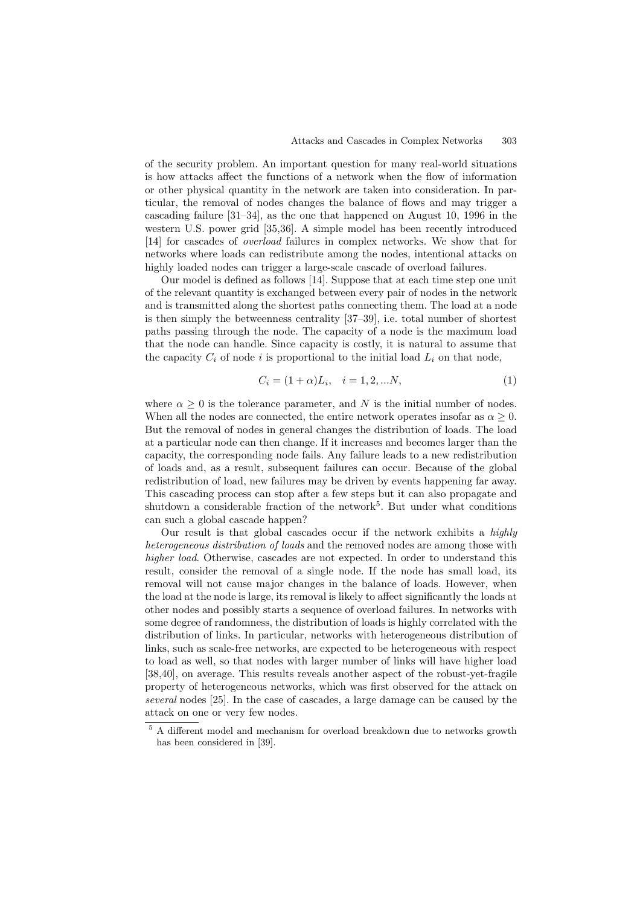of the security problem. An important question for many real-world situations is how attacks affect the functions of a network when the flow of information or other physical quantity in the network are taken into consideration. In particular, the removal of nodes changes the balance of flows and may trigger a cascading failure [31–34], as the one that happened on August 10, 1996 in the western U.S. power grid [35,36]. A simple model has been recently introduced [14] for cascades of *overload* failures in complex networks. We show that for networks where loads can redistribute among the nodes, intentional attacks on highly loaded nodes can trigger a large-scale cascade of overload failures.

Our model is defined as follows [14]. Suppose that at each time step one unit of the relevant quantity is exchanged between every pair of nodes in the network and is transmitted along the shortest paths connecting them. The load at a node is then simply the betweenness centrality [37–39], i.e. total number of shortest paths passing through the node. The capacity of a node is the maximum load that the node can handle. Since capacity is costly, it is natural to assume that the capacity  $C_i$  of node i is proportional to the initial load  $L_i$  on that node,

$$
C_i = (1 + \alpha)L_i, \quad i = 1, 2, \dots N,
$$
\n(1)

where  $\alpha \geq 0$  is the tolerance parameter, and N is the initial number of nodes. When all the nodes are connected, the entire network operates insofar as  $\alpha \geq 0$ . But the removal of nodes in general changes the distribution of loads. The load at a particular node can then change. If it increases and becomes larger than the capacity, the corresponding node fails. Any failure leads to a new redistribution of loads and, as a result, subsequent failures can occur. Because of the global redistribution of load, new failures may be driven by events happening far away. This cascading process can stop after a few steps but it can also propagate and shutdown a considerable fraction of the network<sup>5</sup>. But under what conditions can such a global cascade happen?

Our result is that global cascades occur if the network exhibits a *highly heterogeneous distribution of loads* and the removed nodes are among those with *higher load.* Otherwise, cascades are not expected. In order to understand this result, consider the removal of a single node. If the node has small load, its removal will not cause major changes in the balance of loads. However, when the load at the node is large, its removal is likely to affect significantly the loads at other nodes and possibly starts a sequence of overload failures. In networks with some degree of randomness, the distribution of loads is highly correlated with the distribution of links. In particular, networks with heterogeneous distribution of links, such as scale-free networks, are expected to be heterogeneous with respect to load as well, so that nodes with larger number of links will have higher load [38,40], on average. This results reveals another aspect of the robust-yet-fragile property of heterogeneous networks, which was first observed for the attack on *several* nodes [25]. In the case of cascades, a large damage can be caused by the attack on one or very few nodes.

<sup>&</sup>lt;sup>5</sup> A different model and mechanism for overload breakdown due to networks growth has been considered in [39].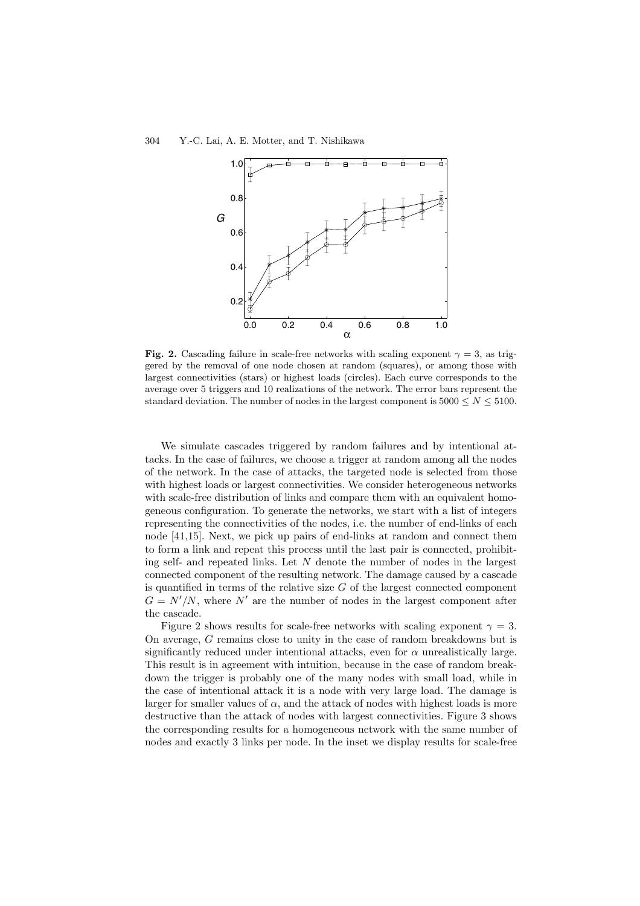

**Fig. 2.** Cascading failure in scale-free networks with scaling exponent  $\gamma = 3$ , as triggered by the removal of one node chosen at random (squares), or among those with largest connectivities (stars) or highest loads (circles). Each curve corresponds to the average over 5 triggers and 10 realizations of the network. The error bars represent the standard deviation. The number of nodes in the largest component is  $5000 \le N \le 5100$ .

We simulate cascades triggered by random failures and by intentional attacks. In the case of failures, we choose a trigger at random among all the nodes of the network. In the case of attacks, the targeted node is selected from those with highest loads or largest connectivities. We consider heterogeneous networks with scale-free distribution of links and compare them with an equivalent homogeneous configuration. To generate the networks, we start with a list of integers representing the connectivities of the nodes, i.e. the number of end-links of each node [41,15]. Next, we pick up pairs of end-links at random and connect them to form a link and repeat this process until the last pair is connected, prohibiting self- and repeated links. Let N denote the number of nodes in the largest connected component of the resulting network. The damage caused by a cascade is quantified in terms of the relative size  $G$  of the largest connected component  $G = N'/N$ , where N' are the number of nodes in the largest component after the cascade.

Figure 2 shows results for scale-free networks with scaling exponent  $\gamma = 3$ . On average, G remains close to unity in the case of random breakdowns but is significantly reduced under intentional attacks, even for  $\alpha$  unrealistically large. This result is in agreement with intuition, because in the case of random breakdown the trigger is probably one of the many nodes with small load, while in the case of intentional attack it is a node with very large load. The damage is larger for smaller values of  $\alpha$ , and the attack of nodes with highest loads is more destructive than the attack of nodes with largest connectivities. Figure 3 shows the corresponding results for a homogeneous network with the same number of nodes and exactly 3 links per node. In the inset we display results for scale-free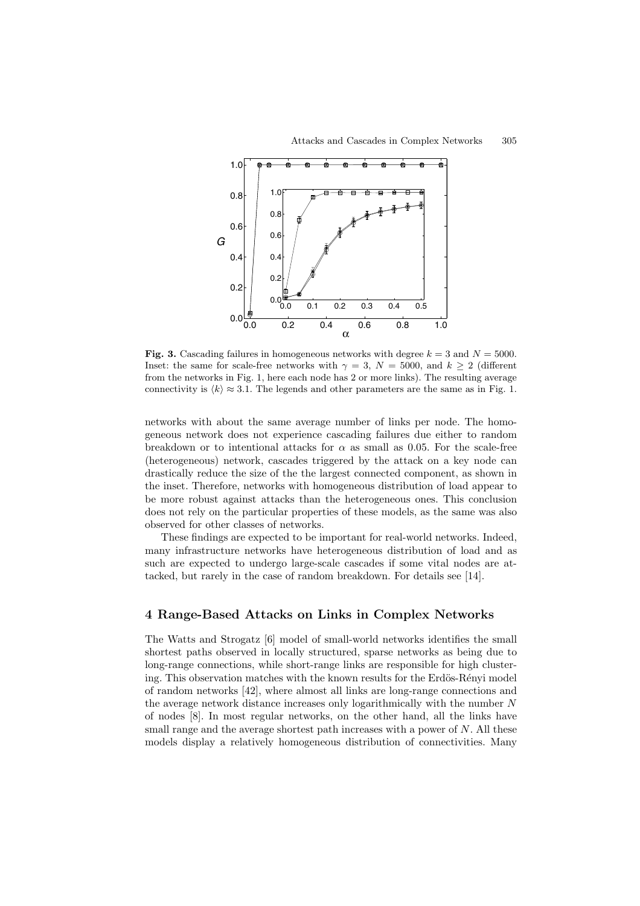

**Fig. 3.** Cascading failures in homogeneous networks with degree  $k = 3$  and  $N = 5000$ . Inset: the same for scale-free networks with  $\gamma = 3$ ,  $N = 5000$ , and  $k \ge 2$  (different from the networks in Fig. 1, here each node has 2 or more links). The resulting average connectivity is  $\langle k \rangle \approx 3.1$ . The legends and other parameters are the same as in Fig. 1.

networks with about the same average number of links per node. The homogeneous network does not experience cascading failures due either to random breakdown or to intentional attacks for  $\alpha$  as small as 0.05. For the scale-free (heterogeneous) network, cascades triggered by the attack on a key node can drastically reduce the size of the the largest connected component, as shown in the inset. Therefore, networks with homogeneous distribution of load appear to be more robust against attacks than the heterogeneous ones. This conclusion does not rely on the particular properties of these models, as the same was also observed for other classes of networks.

These findings are expected to be important for real-world networks. Indeed, many infrastructure networks have heterogeneous distribution of load and as such are expected to undergo large-scale cascades if some vital nodes are attacked, but rarely in the case of random breakdown. For details see [14].

## **4 Range-Based Attacks on Links in Complex Networks**

The Watts and Strogatz [6] model of small-world networks identifies the small shortest paths observed in locally structured, sparse networks as being due to long-range connections, while short-range links are responsible for high clustering. This observation matches with the known results for the Erdös-Rényi model of random networks [42], where almost all links are long-range connections and the average network distance increases only logarithmically with the number N of nodes [8]. In most regular networks, on the other hand, all the links have small range and the average shortest path increases with a power of  $N$ . All these models display a relatively homogeneous distribution of connectivities. Many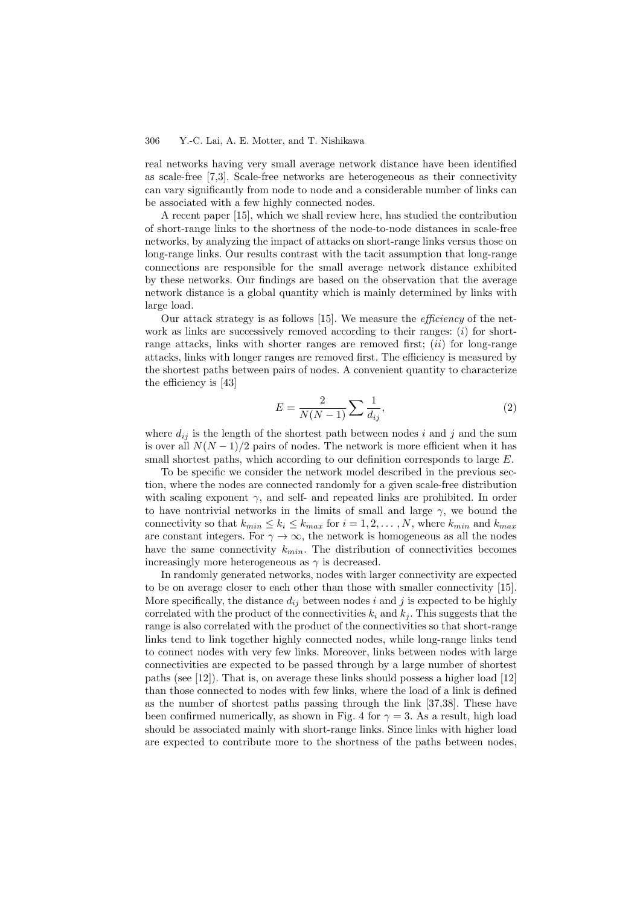real networks having very small average network distance have been identified as scale-free [7,3]. Scale-free networks are heterogeneous as their connectivity can vary significantly from node to node and a considerable number of links can be associated with a few highly connected nodes.

A recent paper [15], which we shall review here, has studied the contribution of short-range links to the shortness of the node-to-node distances in scale-free networks, by analyzing the impact of attacks on short-range links versus those on long-range links. Our results contrast with the tacit assumption that long-range connections are responsible for the small average network distance exhibited by these networks. Our findings are based on the observation that the average network distance is a global quantity which is mainly determined by links with large load.

Our attack strategy is as follows [15]. We measure the *efficiency* of the network as links are successively removed according to their ranges:  $(i)$  for shortrange attacks, links with shorter ranges are removed first;  $(ii)$  for long-range attacks, links with longer ranges are removed first. The efficiency is measured by the shortest paths between pairs of nodes. A convenient quantity to characterize the efficiency is [43]

$$
E = \frac{2}{N(N-1)} \sum \frac{1}{d_{ij}},
$$
\n(2)

where  $d_{ij}$  is the length of the shortest path between nodes i and j and the sum is over all  $N(N-1)/2$  pairs of nodes. The network is more efficient when it has small shortest paths, which according to our definition corresponds to large  $E$ .

To be specific we consider the network model described in the previous section, where the nodes are connected randomly for a given scale-free distribution with scaling exponent  $\gamma$ , and self- and repeated links are prohibited. In order to have nontrivial networks in the limits of small and large  $\gamma$ , we bound the connectivity so that  $k_{min} \leq k_i \leq k_{max}$  for  $i = 1, 2, ..., N$ , where  $k_{min}$  and  $k_{max}$ are constant integers. For  $\gamma \to \infty$ , the network is homogeneous as all the nodes have the same connectivity  $k_{min}$ . The distribution of connectivities becomes increasingly more heterogeneous as  $\gamma$  is decreased.

In randomly generated networks, nodes with larger connectivity are expected to be on average closer to each other than those with smaller connectivity [15]. More specifically, the distance  $d_{ij}$  between nodes i and j is expected to be highly correlated with the product of the connectivities  $k_i$  and  $k_j$ . This suggests that the range is also correlated with the product of the connectivities so that short-range links tend to link together highly connected nodes, while long-range links tend to connect nodes with very few links. Moreover, links between nodes with large connectivities are expected to be passed through by a large number of shortest paths (see [12]). That is, on average these links should possess a higher load [12] than those connected to nodes with few links, where the load of a link is defined as the number of shortest paths passing through the link [37,38]. These have been confirmed numerically, as shown in Fig. 4 for  $\gamma = 3$ . As a result, high load should be associated mainly with short-range links. Since links with higher load are expected to contribute more to the shortness of the paths between nodes,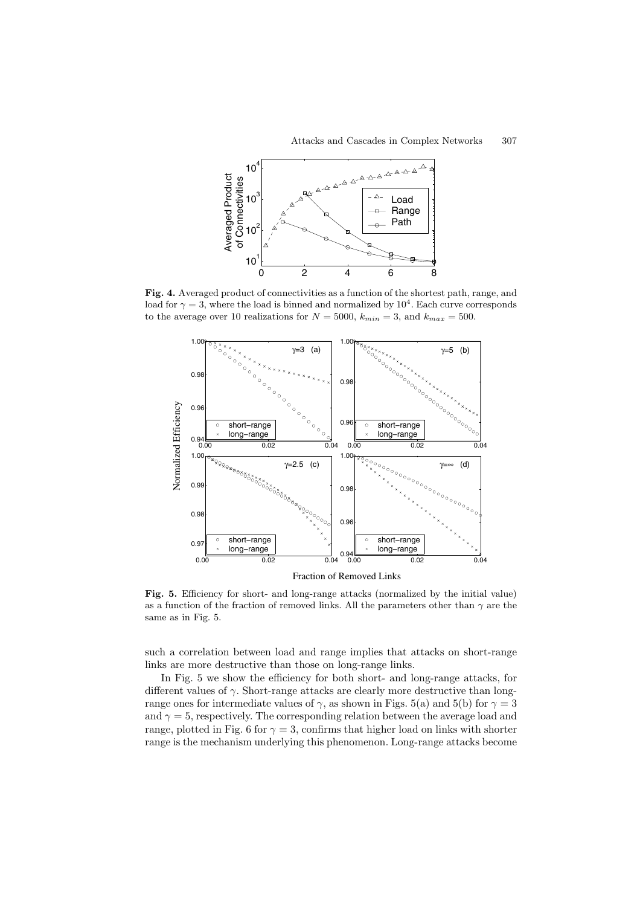

**Fig. 4.** Averaged product of connectivities as a function of the shortest path, range, and load for  $\gamma = 3$ , where the load is binned and normalized by  $10^4$ . Each curve corresponds to the average over 10 realizations for  $N = 5000$ ,  $k_{min} = 3$ , and  $k_{max} = 500$ .



Fraction of Removed Links

**Fig. 5.** Efficiency for short- and long-range attacks (normalized by the initial value) as a function of the fraction of removed links. All the parameters other than  $\gamma$  are the same as in Fig. 5.

such a correlation between load and range implies that attacks on short-range links are more destructive than those on long-range links.

In Fig. 5 we show the efficiency for both short- and long-range attacks, for different values of  $\gamma$ . Short-range attacks are clearly more destructive than longrange ones for intermediate values of  $\gamma$ , as shown in Figs. 5(a) and 5(b) for  $\gamma = 3$ and  $\gamma = 5$ , respectively. The corresponding relation between the average load and range, plotted in Fig. 6 for  $\gamma = 3$ , confirms that higher load on links with shorter range is the mechanism underlying this phenomenon. Long-range attacks become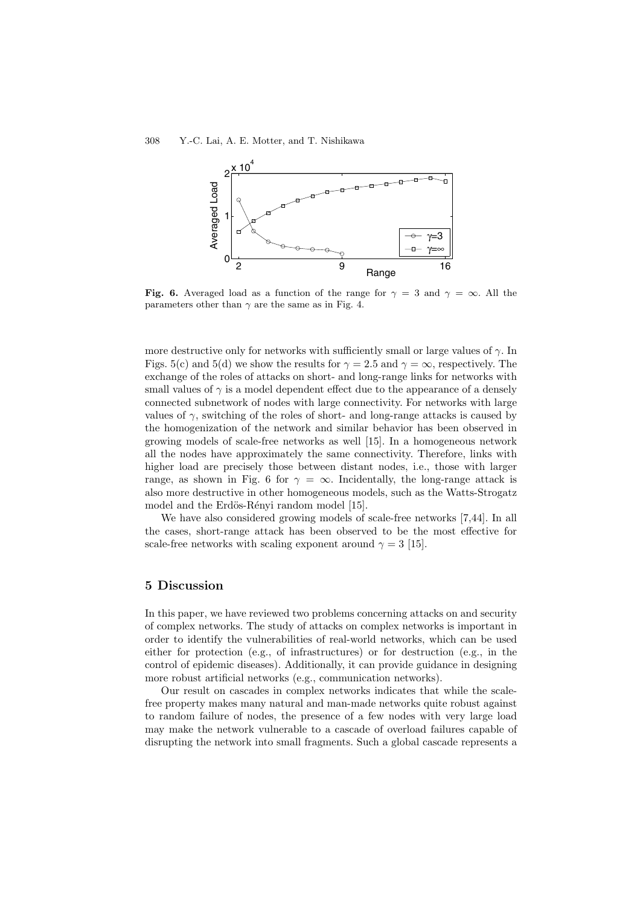

**Fig. 6.** Averaged load as a function of the range for  $\gamma = 3$  and  $\gamma = \infty$ . All the parameters other than  $\gamma$  are the same as in Fig. 4.

more destructive only for networks with sufficiently small or large values of  $\gamma$ . In Figs. 5(c) and 5(d) we show the results for  $\gamma = 2.5$  and  $\gamma = \infty$ , respectively. The exchange of the roles of attacks on short- and long-range links for networks with small values of  $\gamma$  is a model dependent effect due to the appearance of a densely connected subnetwork of nodes with large connectivity. For networks with large values of  $\gamma$ , switching of the roles of short- and long-range attacks is caused by the homogenization of the network and similar behavior has been observed in growing models of scale-free networks as well [15]. In a homogeneous network all the nodes have approximately the same connectivity. Therefore, links with higher load are precisely those between distant nodes, i.e., those with larger range, as shown in Fig. 6 for  $\gamma = \infty$ . Incidentally, the long-range attack is also more destructive in other homogeneous models, such as the Watts-Strogatz model and the Erdös-Rényi random model [15].

We have also considered growing models of scale-free networks [7,44]. In all the cases, short-range attack has been observed to be the most effective for scale-free networks with scaling exponent around  $\gamma = 3$  [15].

#### **5 Discussion**

In this paper, we have reviewed two problems concerning attacks on and security of complex networks. The study of attacks on complex networks is important in order to identify the vulnerabilities of real-world networks, which can be used either for protection (e.g., of infrastructures) or for destruction (e.g., in the control of epidemic diseases). Additionally, it can provide guidance in designing more robust artificial networks (e.g., communication networks).

Our result on cascades in complex networks indicates that while the scalefree property makes many natural and man-made networks quite robust against to random failure of nodes, the presence of a few nodes with very large load may make the network vulnerable to a cascade of overload failures capable of disrupting the network into small fragments. Such a global cascade represents a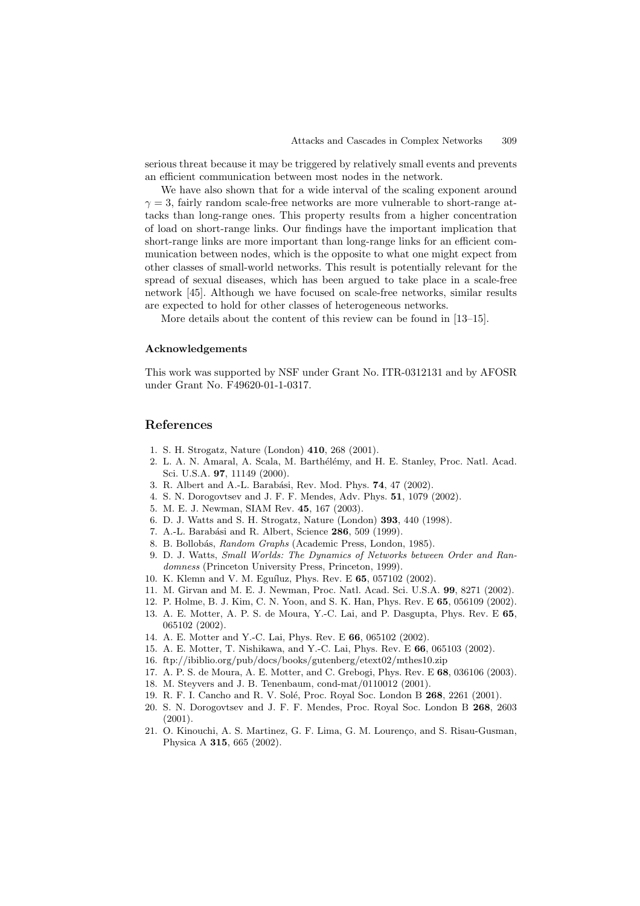serious threat because it may be triggered by relatively small events and prevents an efficient communication between most nodes in the network.

We have also shown that for a wide interval of the scaling exponent around  $\gamma = 3$ , fairly random scale-free networks are more vulnerable to short-range attacks than long-range ones. This property results from a higher concentration of load on short-range links. Our findings have the important implication that short-range links are more important than long-range links for an efficient communication between nodes, which is the opposite to what one might expect from other classes of small-world networks. This result is potentially relevant for the spread of sexual diseases, which has been argued to take place in a scale-free network [45]. Although we have focused on scale-free networks, similar results are expected to hold for other classes of heterogeneous networks.

More details about the content of this review can be found in [13–15].

#### **Acknowledgements**

This work was supported by NSF under Grant No. ITR-0312131 and by AFOSR under Grant No. F49620-01-1-0317.

## **References**

- 1. S. H. Strogatz, Nature (London) **410**, 268 (2001).
- 2. L. A. N. Amaral, A. Scala, M. Barthélémy, and H. E. Stanley, Proc. Natl. Acad. Sci. U.S.A. **97**, 11149 (2000).
- 3. R. Albert and A.-L. Barabási, Rev. Mod. Phys. **74**, 47 (2002).
- 4. S. N. Dorogovtsev and J. F. F. Mendes, Adv. Phys. **51**, 1079 (2002).
- 5. M. E. J. Newman, SIAM Rev. **45**, 167 (2003).
- 6. D. J. Watts and S. H. Strogatz, Nature (London) **393**, 440 (1998).
- 7. A.-L. Barab´asi and R. Albert, Science **286**, 509 (1999).
- 8. B. Bollobás, Random Graphs (Academic Press, London, 1985).
- 9. D. J. Watts, Small Worlds: The Dynamics of Networks between Order and Randomness (Princeton University Press, Princeton, 1999).
- 10. K. Klemn and V. M. Eguíluz, Phys. Rev. E **65**, 057102 (2002).
- 11. M. Girvan and M. E. J. Newman, Proc. Natl. Acad. Sci. U.S.A. **99**, 8271 (2002).
- 12. P. Holme, B. J. Kim, C. N. Yoon, and S. K. Han, Phys. Rev. E **65**, 056109 (2002).
- 13. A. E. Motter, A. P. S. de Moura, Y.-C. Lai, and P. Dasgupta, Phys. Rev. E **65**, 065102 (2002).
- 14. A. E. Motter and Y.-C. Lai, Phys. Rev. E **66**, 065102 (2002).
- 15. A. E. Motter, T. Nishikawa, and Y.-C. Lai, Phys. Rev. E **66**, 065103 (2002).
- 16. ftp://ibiblio.org/pub/docs/books/gutenberg/etext02/mthes10.zip
- 17. A. P. S. de Moura, A. E. Motter, and C. Grebogi, Phys. Rev. E **68**, 036106 (2003).
- 18. M. Steyvers and J. B. Tenenbaum, cond-mat/0110012 (2001).
- 19. R. F. I. Cancho and R. V. Solé, Proc. Royal Soc. London B **268**, 2261 (2001).
- 20. S. N. Dorogovtsev and J. F. F. Mendes, Proc. Royal Soc. London B **268**, 2603 (2001).
- 21. O. Kinouchi, A. S. Martinez, G. F. Lima, G. M. Lourenço, and S. Risau-Gusman, Physica A **315**, 665 (2002).